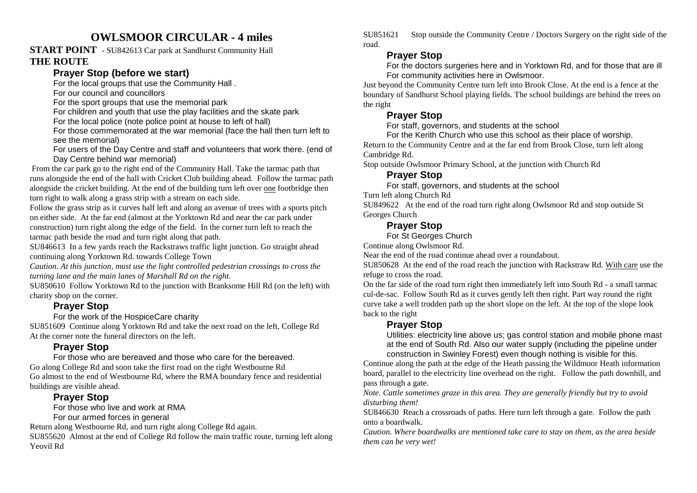# **OWLSMOOR CIRCULAR - 4 miles**

#### **START POINT** - SU842613 Car park at Sandhurst Community Hall **THE ROUTE**

## **Prayer Stop (before we start)**

For the local groups that use the Community Hall .

For our council and councillors

For the sport groups that use the memorial park

For children and youth that use the play facilities and the skate park

For the local police (note police point at house to left of hall)

 For those commemorated at the war memorial (face the hall then turn left to see the memorial)

 For users of the Day Centre and staff and volunteers that work there. (end of Day Centre behind war memorial)

 From the car park go to the right end of the Community Hall. Take the tarmac path that runs alongside the end of the hall with Cricket Club building ahead. Follow the tarmac path alongside the cricket building. At the end of the building turn left over one footbridge then turn right to walk along a grass strip with a stream on each side.

 Follow the grass strip as it curves half left and along an avenue of trees with a sports pitch on either side. At the far end (almost at the Yorktown Rd and near the car park under construction) turn right along the edge of the field. In the corner turn left to reach the tarmac path beside the road and turn right along that path.

 SU846613 In a few yards reach the Rackstraws traffic light junction. Go straight ahead continuing along Yorktown Rd. towards College Town

*Caution. At this junction, must use the light controlled pedestrian crossings to cross the turning lane and the main lanes of Marshall Rd on the right.* 

SU850610 Follow Yorktown Rd to the junction with Branksome Hill Rd (on the left) with charity shop on the corner.

### **Prayer Stop**

For the work of the HospiceCare charity

 SU851609 Continue along Yorktown Rd and take the next road on the left, College Rd At the corner note the funeral directors on the left.

### **Prayer Stop**

 For those who are bereaved and those who care for the bereaved. Go along College Rd and soon take the first road on the right Westbourne Rd Go almost to the end of Westbourne Rd, where the RMA boundary fence and residential buildings are visible ahead.

# **Prayer Stop**

For those who live and work at RMA

For our armed forces in general

Return along Westbourne Rd, and turn right along College Rd again.

 SU855620 Almost at the end of College Rd follow the main traffic route, turning left along Yeovil Rd

SU851621 Stop outside the Community Centre / Doctors Surgery on the right side of the road.

### **Prayer Stop**

 For the doctors surgeries here and in Yorktown Rd, and for those that are ill For community activities here in Owlsmoor.

 Just beyond the Community Centre turn left into Brook Close. At the end is a fence at the boundary of Sandhurst School playing fields. The school buildings are behind the trees on the right

# **Prayer Stop**

For staff, governors, and students at the school

 For the Kerith Church who use this school as their place of worship. Return to the Community Centre and at the far end from Brook Close, turn left along Cambridge Rd.

Stop outside Owlsmoor Primary School, at the junction with Church Rd

# **Prayer Stop**

For staff, governors, and students at the school

Turn left along Church Rd

 SU849622 At the end of the road turn right along Owlsmoor Rd and stop outside St Georges Church

#### **Prayer Stop**

For St Georges Church

Continue along Owlsmoor Rd.

Near the end of the road continue ahead over a roundabout.

SU850628 At the end of the road reach the junction with Rackstraw Rd. With care use the refuge to cross the road.

On the far side of the road turn right then immediately left into South Rd - a small tarmac cul-de-sac. Follow South Rd as it curves gently left then right. Part way round the right curve take a well trodden path up the short slope on the left. At the top of the slope look back to the right

# **Prayer Stop**

 Utilities: electricity line above us; gas control station and mobile phone mast at the end of South Rd. Also our water supply (including the pipeline under construction in Swinley Forest) even though nothing is visible for this.

 Continue along the path at the edge of the Heath passing the Wildmoor Heath information board, parallel to the electricity line overhead on the right. Follow the path downhill, and pass through a gate.

 *Note. Cattle sometimes graze in this area. They are generally friendly but try to avoid disturbing them!* 

SU846630 Reach a crossroads of paths. Here turn left through a gate. Follow the path onto a boardwalk.

*Caution. Where boardwalks are mentioned take care to stay on them, as the area beside them can be very wet!*